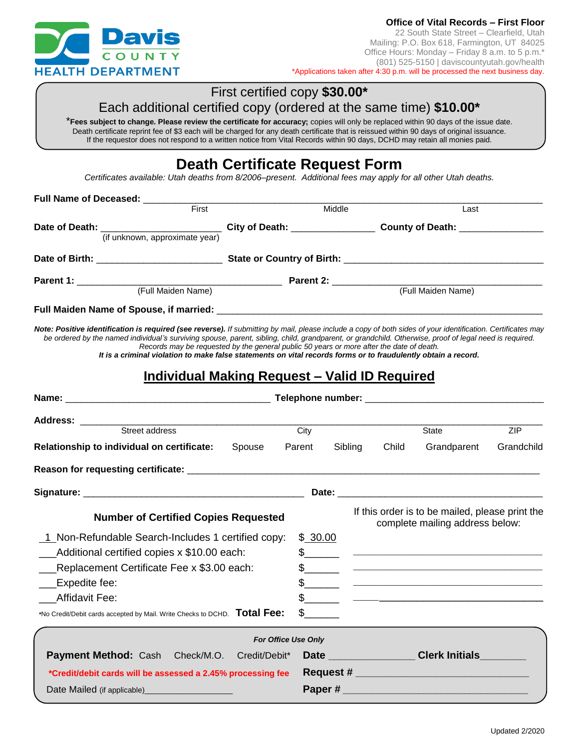

## First certified copy **\$30.00\***

## Each additional certified copy (ordered at the same time) **\$10.00\***

\***Fees subject to change. Please review the certificate for accuracy;** copies will only be replaced within 90 days of the issue date. Death certificate reprint fee of \$3 each will be charged for any death certificate that is reissued within 90 days of original issuance. If the requestor does not respond to a written notice from Vital Records within 90 days, DCHD may retain all monies paid.

# **Death Certificate Request Form**

*Certificates available: Utah deaths from 8/2006–present. Additional fees may apply for all other Utah deaths.*

| Full Name of Deceased: _________                                                                                                                                                                                                                                                                                                                                                                                                                                                                                                                                                                    |                     |               |         |       |                                                                                                                      |            |
|-----------------------------------------------------------------------------------------------------------------------------------------------------------------------------------------------------------------------------------------------------------------------------------------------------------------------------------------------------------------------------------------------------------------------------------------------------------------------------------------------------------------------------------------------------------------------------------------------------|---------------------|---------------|---------|-------|----------------------------------------------------------------------------------------------------------------------|------------|
| First                                                                                                                                                                                                                                                                                                                                                                                                                                                                                                                                                                                               | Middle              |               |         | Last  |                                                                                                                      |            |
|                                                                                                                                                                                                                                                                                                                                                                                                                                                                                                                                                                                                     |                     |               |         |       |                                                                                                                      |            |
|                                                                                                                                                                                                                                                                                                                                                                                                                                                                                                                                                                                                     |                     |               |         |       |                                                                                                                      |            |
|                                                                                                                                                                                                                                                                                                                                                                                                                                                                                                                                                                                                     |                     |               |         |       |                                                                                                                      |            |
|                                                                                                                                                                                                                                                                                                                                                                                                                                                                                                                                                                                                     |                     |               |         |       |                                                                                                                      |            |
|                                                                                                                                                                                                                                                                                                                                                                                                                                                                                                                                                                                                     |                     |               |         |       |                                                                                                                      |            |
|                                                                                                                                                                                                                                                                                                                                                                                                                                                                                                                                                                                                     |                     |               |         |       |                                                                                                                      |            |
| Note: Positive identification is required (see reverse). If submitting by mail, please include a copy of both sides of your identification. Certificates may<br>be ordered by the named individual's surviving spouse, parent, sibling, child, grandparent, or grandchild. Otherwise, proof of legal need is required.<br>Records may be requested by the general public 50 years or more after the date of death.<br>It is a criminal violation to make false statements on vital records forms or to fraudulently obtain a record.<br><u><b>Individual Making Request - Valid ID Required</b></u> |                     |               |         |       |                                                                                                                      |            |
|                                                                                                                                                                                                                                                                                                                                                                                                                                                                                                                                                                                                     |                     |               |         |       |                                                                                                                      |            |
| <b>Address: _______</b>                                                                                                                                                                                                                                                                                                                                                                                                                                                                                                                                                                             |                     |               |         |       |                                                                                                                      |            |
| Street address                                                                                                                                                                                                                                                                                                                                                                                                                                                                                                                                                                                      |                     | City          |         |       | State                                                                                                                | ZIP        |
| Relationship to individual on certificate:                                                                                                                                                                                                                                                                                                                                                                                                                                                                                                                                                          | Spouse              | Parent        | Sibling | Child | Grandparent                                                                                                          | Grandchild |
|                                                                                                                                                                                                                                                                                                                                                                                                                                                                                                                                                                                                     |                     |               |         |       |                                                                                                                      |            |
|                                                                                                                                                                                                                                                                                                                                                                                                                                                                                                                                                                                                     |                     |               |         |       |                                                                                                                      |            |
| <b>Number of Certified Copies Requested</b>                                                                                                                                                                                                                                                                                                                                                                                                                                                                                                                                                         |                     |               |         |       | If this order is to be mailed, please print the<br>complete mailing address below:                                   |            |
| 1 Non-Refundable Search-Includes 1 certified copy:                                                                                                                                                                                                                                                                                                                                                                                                                                                                                                                                                  |                     | \$ 30.00      |         |       |                                                                                                                      |            |
| $\_\_\$ Additional certified copies x \$10.00 each:                                                                                                                                                                                                                                                                                                                                                                                                                                                                                                                                                 |                     | $\frac{1}{2}$ |         |       |                                                                                                                      |            |
| __Replacement Certificate Fee x \$3.00 each:                                                                                                                                                                                                                                                                                                                                                                                                                                                                                                                                                        |                     | $\frac{1}{2}$ |         |       | <u> 2000 - Jan James James Jan James James Jan James James Jan James James Jan Jan Jan James Jan Jan Jan Jan Jan</u> |            |
| __Expedite fee:                                                                                                                                                                                                                                                                                                                                                                                                                                                                                                                                                                                     |                     |               |         |       |                                                                                                                      |            |
| <b>Affidavit Fee:</b>                                                                                                                                                                                                                                                                                                                                                                                                                                                                                                                                                                               |                     | $\mathfrak s$ |         |       |                                                                                                                      |            |
| *No Credit/Debit cards accepted by Mail. Write Checks to DCHD. Total Fee:                                                                                                                                                                                                                                                                                                                                                                                                                                                                                                                           |                     |               |         |       |                                                                                                                      |            |
|                                                                                                                                                                                                                                                                                                                                                                                                                                                                                                                                                                                                     | For Office Use Only |               |         |       |                                                                                                                      |            |
| <b>Payment Method: Cash</b><br>Check/M.O.                                                                                                                                                                                                                                                                                                                                                                                                                                                                                                                                                           | Credit/Debit*       |               |         |       | Date <b>Clerk Initials</b>                                                                                           |            |
| *Credit/debit cards will be assessed a 2.45% processing fee                                                                                                                                                                                                                                                                                                                                                                                                                                                                                                                                         |                     |               |         |       |                                                                                                                      |            |
| Date Mailed (if applicable)______________________                                                                                                                                                                                                                                                                                                                                                                                                                                                                                                                                                   |                     | Paper #       |         |       |                                                                                                                      |            |